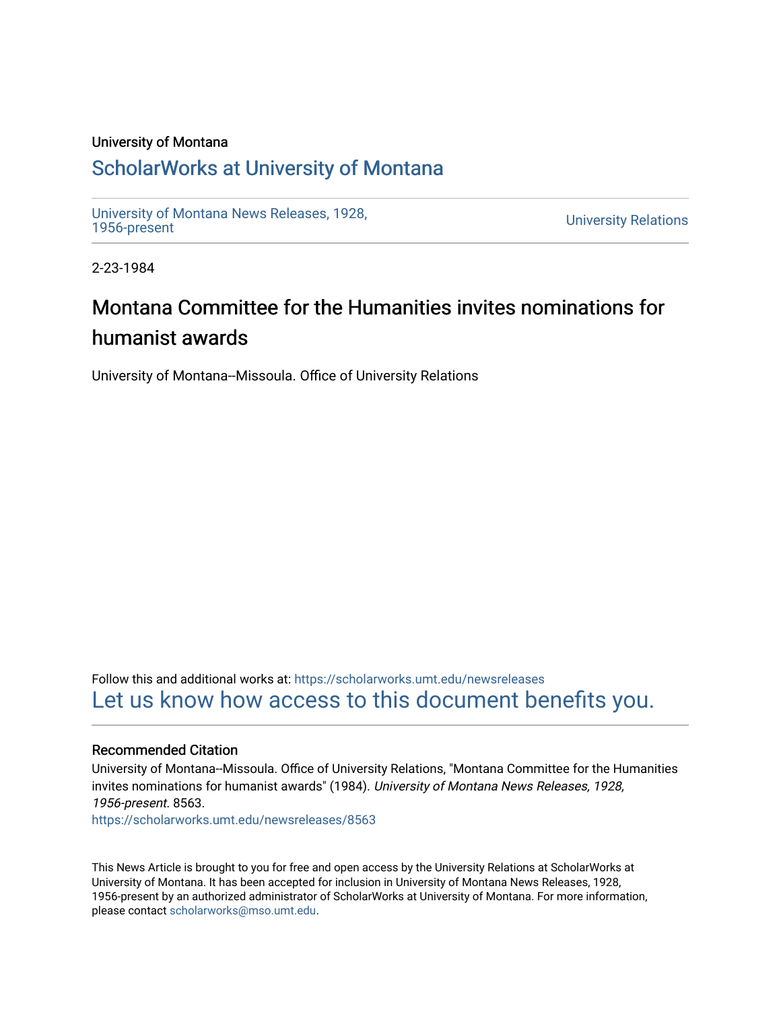## University of Montana

## [ScholarWorks at University of Montana](https://scholarworks.umt.edu/)

[University of Montana News Releases, 1928,](https://scholarworks.umt.edu/newsreleases) 

**University Relations** 

2-23-1984

## Montana Committee for the Humanities invites nominations for humanist awards

University of Montana--Missoula. Office of University Relations

Follow this and additional works at: [https://scholarworks.umt.edu/newsreleases](https://scholarworks.umt.edu/newsreleases?utm_source=scholarworks.umt.edu%2Fnewsreleases%2F8563&utm_medium=PDF&utm_campaign=PDFCoverPages) [Let us know how access to this document benefits you.](https://goo.gl/forms/s2rGfXOLzz71qgsB2) 

## Recommended Citation

University of Montana--Missoula. Office of University Relations, "Montana Committee for the Humanities invites nominations for humanist awards" (1984). University of Montana News Releases, 1928, 1956-present. 8563.

[https://scholarworks.umt.edu/newsreleases/8563](https://scholarworks.umt.edu/newsreleases/8563?utm_source=scholarworks.umt.edu%2Fnewsreleases%2F8563&utm_medium=PDF&utm_campaign=PDFCoverPages) 

This News Article is brought to you for free and open access by the University Relations at ScholarWorks at University of Montana. It has been accepted for inclusion in University of Montana News Releases, 1928, 1956-present by an authorized administrator of ScholarWorks at University of Montana. For more information, please contact [scholarworks@mso.umt.edu.](mailto:scholarworks@mso.umt.edu)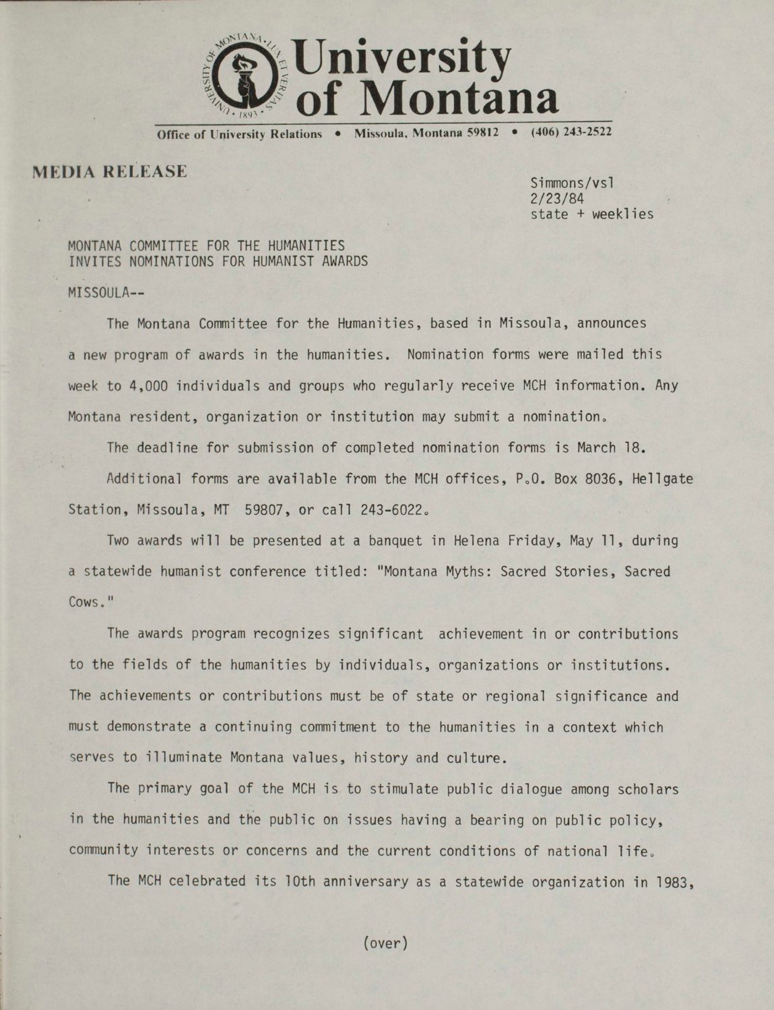

**Office of University Relations • Missoula, Montana 59812 • (406) 243-2522**

**MEDIA RELEASE** 

Simmons/vsl 2/23/84 state + weeklies

MONTANA COMMITTEE FOR THE HUMANITIES INVITES NOMINATIONS FOR HUMANIST AWARDS

MISSOULA—

The Montana Committee for the Humanities, based in Missoula, announces a new program of awards in the humanities. Nomination forms were mailed this week to 4,000 individuals and groups who regularly receive MCH information. Any Montana resident, organization or institution may submit a nomination,,

The deadline for submission of completed nomination forms is March 18.

Additional forms are available from the MCH offices, P.O. Box 8036, Hellgate Station, Missoula, MT 59807, or call 243-6022.

Two awards will be presented at a banquet in Helena Friday, May 11, during a statewide humanist conference titled: "Montana Myths: Sacred Stories, Sacred Cows."

The awards program recognizes significant achievement in or contributions to the fields of the humanities by individuals, organizations or institutions. The achievements or contributions must be of state or regional significance and must demonstrate a continuing commitment to the humanities in a context which serves to illuminate Montana values, history and culture.

The primary goal of the MCH is to stimulate public dialogue among scholars in the humanities and the public on issues having a bearing on public policy, community interests or concerns and the current conditions of national life.

The MCH celebrated its 10th anniversary as a statewide organization in 1983,